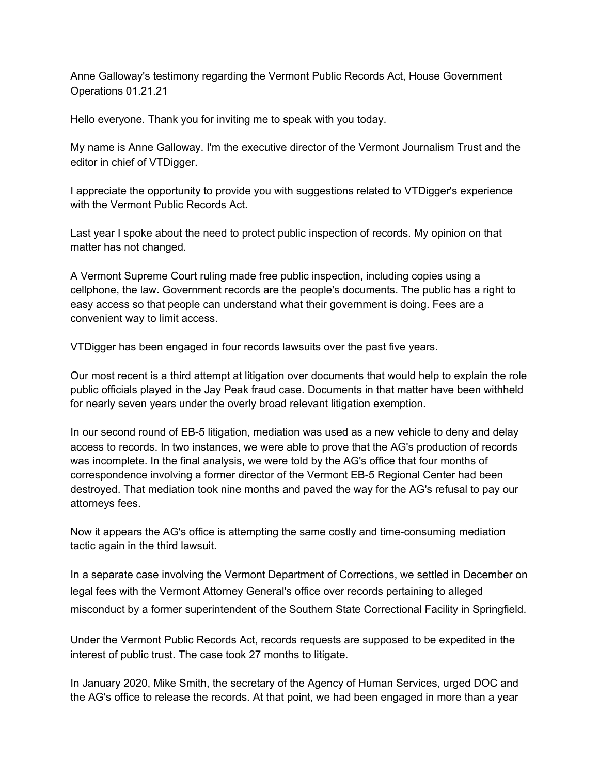Anne Galloway's testimony regarding the Vermont Public Records Act, House Government Operations 01.21.21

Hello everyone. Thank you for inviting me to speak with you today.

My name is Anne Galloway. I'm the executive director of the Vermont Journalism Trust and the editor in chief of VTDigger.

I appreciate the opportunity to provide you with suggestions related to VTDigger's experience with the Vermont Public Records Act.

Last year I spoke about the need to protect public inspection of records. My opinion on that matter has not changed.

A Vermont Supreme Court ruling made free public inspection, including copies using a cellphone, the law. Government records are the people's documents. The public has a right to easy access so that people can understand what their government is doing. Fees are a convenient way to limit access.

VTDigger has been engaged in four records lawsuits over the past five years.

Our most recent is a third attempt at litigation over documents that would help to explain the role public officials played in the Jay Peak fraud case. Documents in that matter have been withheld for nearly seven years under the overly broad relevant litigation exemption.

In our second round of EB-5 litigation, mediation was used as a new vehicle to deny and delay access to records. In two instances, we were able to prove that the AG's production of records was incomplete. In the final analysis, we were told by the AG's office that four months of correspondence involving a former director of the Vermont EB-5 Regional Center had been destroyed. That mediation took nine months and paved the way for the AG's refusal to pay our attorneys fees.

Now it appears the AG's office is attempting the same costly and time-consuming mediation tactic again in the third lawsuit.

In a separate case involving the Vermont Department of Corrections, we settled in December on legal fees with the Vermont Attorney General's office over records pertaining to alleged misconduct by a former superintendent of the Southern State Correctional Facility in Springfield.

Under the Vermont Public Records Act, records requests are supposed to be expedited in the interest of public trust. The case took 27 months to litigate.

In January 2020, Mike Smith, the secretary of the Agency of Human Services, urged DOC and the AG's office to release the records. At that point, we had been engaged in more than a year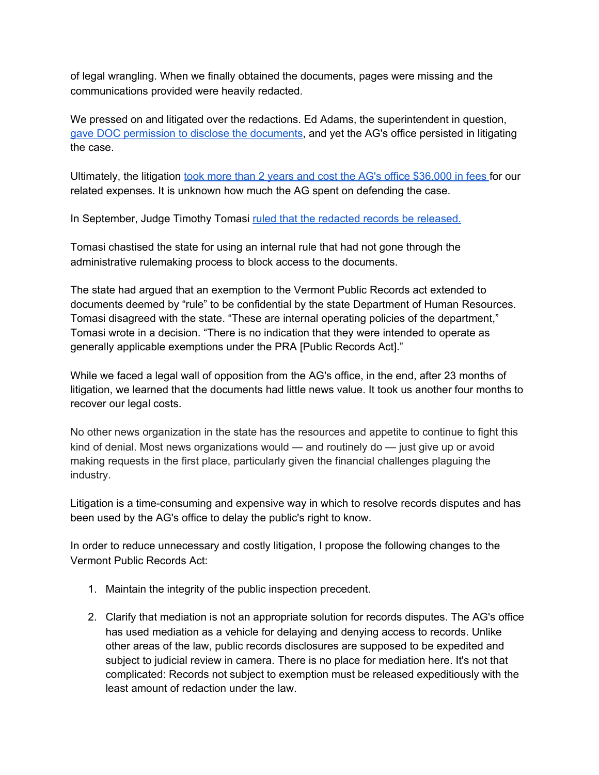of legal wrangling. When we finally obtained the documents, pages were missing and the communications provided were heavily redacted.

We pressed on and litigated over the redactions. Ed Adams, the superintendent in question, gave DOC permission to disclose the [documents,](https://vtdigger.org/2020/07/09/demoted-springfield-prison-head-wont-oppose-more-detailed-document-release/) and yet the AG's office persisted in litigating the case.

Ultimately, the litigation took more than 2 years and cost the AG's office [\\$36,000](https://vtdigger.org/2021/01/04/state-pays-36000-to-vtdigger-for-costs-in-public-records-lawsuit/) in fees for our related expenses. It is unknown how much the AG spent on defending the case.

In September, Judge Timothy Tomasi ruled that the redacted records be [released.](https://vtdigger.org/2020/09/11/judge-orders-state-to-release-more-information-on-demoted-prison-superintendent/)

Tomasi chastised the state for using an internal rule that had not gone through the administrative rulemaking process to block access to the documents.

The state had argued that an exemption to the Vermont Public Records act extended to documents deemed by "rule" to be confidential by the state Department of Human Resources. Tomasi disagreed with the state. "These are internal operating policies of the department," Tomasi wrote in a decision. "There is no indication that they were intended to operate as generally applicable exemptions under the PRA [Public Records Act]."

While we faced a legal wall of opposition from the AG's office, in the end, after 23 months of litigation, we learned that the documents had little news value. It took us another four months to recover our legal costs.

No other news organization in the state has the resources and appetite to continue to fight this kind of denial. Most news organizations would — and routinely do — just give up or avoid making requests in the first place, particularly given the financial challenges plaguing the industry.

Litigation is a time-consuming and expensive way in which to resolve records disputes and has been used by the AG's office to delay the public's right to know.

In order to reduce unnecessary and costly litigation, I propose the following changes to the Vermont Public Records Act:

- 1. Maintain the integrity of the public inspection precedent.
- 2. Clarify that mediation is not an appropriate solution for records disputes. The AG's office has used mediation as a vehicle for delaying and denying access to records. Unlike other areas of the law, public records disclosures are supposed to be expedited and subject to judicial review in camera. There is no place for mediation here. It's not that complicated: Records not subject to exemption must be released expeditiously with the least amount of redaction under the law.